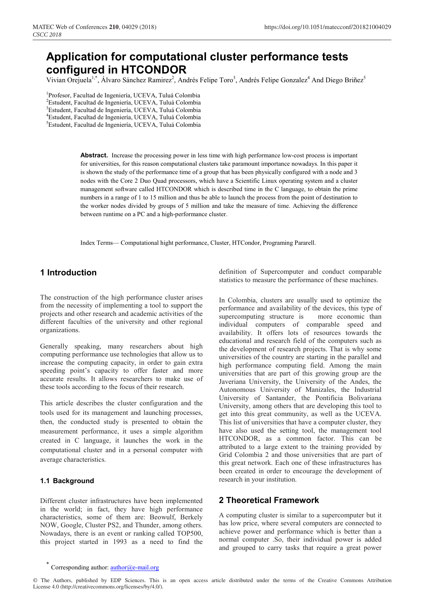# **Application for computational cluster performance tests configured in HTCONDOR**

Vivian Orejuela<sup>1,\*</sup>, Álvaro Sánchez Ramirez<sup>2</sup>, Andrés Felipe Toro<sup>3</sup>, Andrés Felipe Gonzalez<sup>4</sup> And Diego Briñez<sup>5</sup>

<sup>1</sup>Profesor, Facultad de Ingeniería, UCEVA, Tuluá Colombia Estudent, Facultad de Ingeniería, UCEVA, Tuluá Colombia <sup>3</sup> Estudent, Facultad de Ingeniería, UCEVA, Tuluá Colombia <sup>4</sup> Estudent, Facultad de Ingeniería, UCEVA, Tuluá Colombia <sup>5</sup> <sup>5</sup>Estudent, Facultad de Ingeniería, UCEVA, Tuluá Colombia

> Abstract. Increase the processing power in less time with high performance low-cost process is important for universities, for this reason computational clusters take paramount importance nowadays. In this paper it is shown the study of the performance time of a group that has been physically configured with a node and 3 nodes with the Core 2 Duo Quad processors, which have a Scientific Linux operating system and a cluster management software called HTCONDOR which is described time in the C language, to obtain the prime numbers in a range of 1 to 15 million and thus be able to launch the process from the point of destination to the worker nodes divided by groups of 5 million and take the measure of time. Achieving the difference between runtime on a PC and a high-performance cluster.

Index Terms— Computational hight performance, Cluster, HTCondor, Programing Pararell.

# **1 Introduction**

The construction of the high performance cluster arises from the necessity of implementing a tool to support the projects and other research and academic activities of the different faculties of the university and other regional organizations.

Generally speaking, many researchers about high computing performance use technologies that allow us to increase the computing capacity, in order to gain extra speeding point's capacity to offer faster and more accurate results. It allows researchers to make use of these tools according to the focus of their research.

This article describes the cluster configuration and the tools used for its management and launching processes, then, the conducted study is presented to obtain the measurement performance, it uses a simple algorithm created in C language, it launches the work in the computational cluster and in a personal computer with average characteristics.

#### **1.1 Background**

Different cluster infrastructures have been implemented in the world; in fact, they have high performance characteristics, some of them are: Beowulf, Berkely NOW, Google, Cluster PS2, and Thunder, among others. Nowadays, there is an event or ranking called TOP500, this project started in 1993 as a need to find the definition of Supercomputer and conduct comparable statistics to measure the performance of these machines.

In Colombia, clusters are usually used to optimize the performance and availability of the devices, this type of supercomputing structure is more economic than individual computers of comparable speed and availability. It offers lots of resources towards the educational and research field of the computers such as the development of research projects. That is why some universities of the country are starting in the parallel and high performance computing field. Among the main universities that are part of this growing group are the Javeriana University, the University of the Andes, the Autonomous University of Manizales, the Industrial University of Santander, the Pontificia Bolivariana University, among others that are developing this tool to get into this great community, as well as the UCEVA. This list of universities that have a computer cluster, they have also used the setting tool, the management tool HTCONDOR, as a common factor. This can be attributed to a large extent to the training provided by Grid Colombia 2 and those universities that are part of this great network. Each one of these infrastructures has been created in order to encourage the development of research in your institution.

# **2 Theoretical Framework**

A computing cluster is similar to a supercomputer but it has low price, where several computers are connected to achieve power and performance which is better than a normal computer .So, their individual power is added and grouped to carry tasks that require a great power

Corresponding author:  $\frac{\text{author}(a) \text{e-mail.org}}{\text{auto}(a) \text{e-mail.org}}$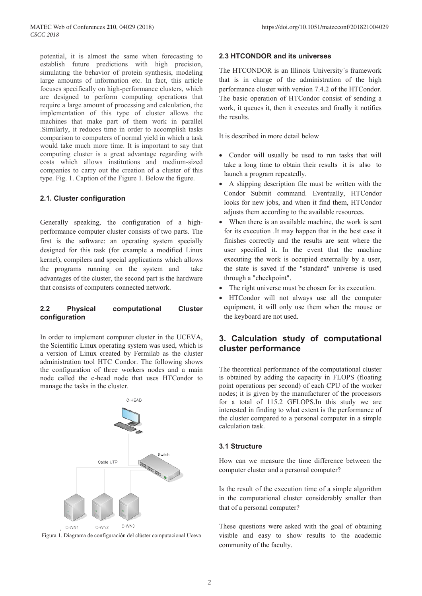potential, it is almost the same when forecasting to establish future predictions with high precision, simulating the behavior of protein synthesis, modeling large amounts of information etc. In fact, this article focuses specifically on high-performance clusters, which are designed to perform computing operations that require a large amount of processing and calculation, the implementation of this type of cluster allows the machines that make part of them work in parallel .Similarly, it reduces time in order to accomplish tasks comparison to computers of normal yield in which a task would take much more time. It is important to say that computing cluster is a great advantage regarding with costs which allows institutions and medium-sized companies to carry out the creation of a cluster of this type. Fig. 1. Caption of the Figure 1. Below the figure.

## **2.1. Cluster configuration**

Generally speaking, the configuration of a highperformance computer cluster consists of two parts. The first is the software: an operating system specially designed for this task (for example a modified Linux kernel), compilers and special applications which allows the programs running on the system and take advantages of the cluster, the second part is the hardware that consists of computers connected network.

### **2.2 Physical computational Cluster configuration**

In order to implement computer cluster in the UCEVA, the Scientific Linux operating system was used, which is a version of Linux created by Fermilab as the cluster administration tool HTC Condor. The following shows the configuration of three workers nodes and a main node called the c-head node that uses HTCondor to manage the tasks in the cluster.





### **2.3 HTCONDOR and its universes**

The HTCONDOR is an Illinois University´s framework that is in charge of the administration of the high performance cluster with version 7.4.2 of the HTCondor. The basic operation of HTCondor consist of sending a work, it queues it, then it executes and finally it notifies the results.

It is described in more detail below

- Condor will usually be used to run tasks that will take a long time to obtain their results it is also to launch a program repeatedly.
- A shipping description file must be written with the Condor Submit command. Eventually, HTCondor looks for new jobs, and when it find them, HTCondor adjusts them according to the available resources.
- When there is an available machine, the work is sent for its execution .It may happen that in the best case it finishes correctly and the results are sent where the user specified it. In the event that the machine executing the work is occupied externally by a user, the state is saved if the "standard" universe is used through a "checkpoint".
- The right universe must be chosen for its execution.
- HTCondor will not always use all the computer equipment, it will only use them when the mouse or the keyboard are not used.

# **3. Calculation study of computational cluster performance**

The theoretical performance of the computational cluster is obtained by adding the capacity in FLOPS (floating point operations per second) of each CPU of the worker nodes; it is given by the manufacturer of the processors for a total of 115.2 GFLOPS.In this study we are interested in finding to what extent is the performance of the cluster compared to a personal computer in a simple calculation task.

## **3.1 Structure**

How can we measure the time difference between the computer cluster and a personal computer?

Is the result of the execution time of a simple algorithm in the computational cluster considerably smaller than that of a personal computer?

These questions were asked with the goal of obtaining visible and easy to show results to the academic community of the faculty.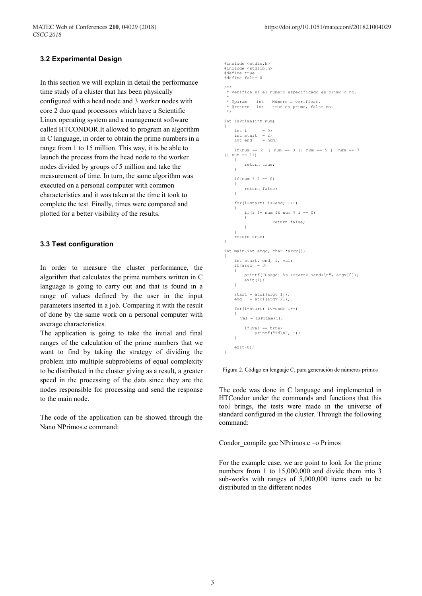### **3.2 Experimental Design**

In this section we will explain in detail the performance time study of a cluster that has been physically configured with a head node and 3 worker nodes with core 2 duo quad processors which have a Scientific Linux operating system and a management software called HTCONDOR.It allowed to program an algorithm in C language, in order to obtain the prime numbers in a range from 1 to 15 million. This way, it is be able to launch the process from the head node to the worker nodes divided by groups of 5 million and take the measurement of time. In turn, the same algorithm was executed on a personal computer with common characteristics and it was taken at the time it took to complete the test. Finally, times were compared and plotted for a better visibility of the results.

#### **3.3 Test configuration**

In order to measure the cluster performance, the algorithm that calculates the prime numbers written in C language is going to carry out and that is found in a range of values defined by the user in the input parameters inserted in a job. Comparing it with the result of done by the same work on a personal computer with average characteristics.

The application is going to take the initial and final ranges of the calculation of the prime numbers that we want to find by taking the strategy of dividing the problem into multiple subproblems of equal complexity to be distributed in the cluster giving as a result, a greater speed in the processing of the data since they are the nodes responsible for processing and send the response to the main node.

The code of the application can be showed through the Nano NPrimos.c command:

```
#include <stdio.h>
#include <stdlib.h>
#define true 1
#define false 0
/**
* Verifica si el número especificado es primo o no.
 *
 * @param int Número a verificar.
* @return int true es primo, false no.
 */
int isPrime(int num)
{
     int i = 0;<br>int start = 2;int end = num;if(num == 2 || num == 3 || num == 5 || num == 7)| \cdot | num | \cdot |{
         return true;
    }
    if(num % 2 == 0)
     {
         return false;
     }
    for(i=start; i<=end; ++i)
     {
         if(i != num & 2 & 1 = 0)
         {
                      return false;
         }
     }
return true;
}
int main(int argc, char *argv[])
{
     int start, end, i, val;
if(argc != 3) 
     {
         printf("Usage: %s <start> <end>\n", argv[0]);
         ext(1);}
    start = atoi(argv[1]);<br>end = atoi(argv[2]);
           = atoi(argv[2]);
    for(i=start; i<=end; i++)
     {
       val = isPrime(i);if(val == true)
              printf("%d\n", i);
    }
    exit(0);
}
```
Figura 2. Código en lenguaje C, para generación de números primos

The code was done in C language and implemented in HTCondor under the commands and functions that this tool brings, the tests were made in the universe of standard configured in the cluster. Through the following command:

Condor compile gcc NPrimos.c –o Primos

For the example case, we are goint to look for the prime numbers from 1 to 15,000,000 and divide them into 3 sub-works with ranges of 5,000,000 items each to be distributed in the different nodes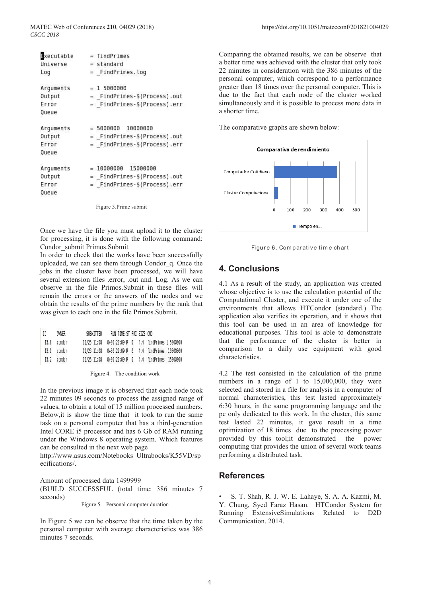| $=$ find $Primes$            |  |  |  |  |  |  |
|------------------------------|--|--|--|--|--|--|
| $=$ standard                 |  |  |  |  |  |  |
| = FindPrimes.log             |  |  |  |  |  |  |
| $= 15000000$                 |  |  |  |  |  |  |
| = FindPrimes-\$(Process).out |  |  |  |  |  |  |
| = FindPrimes-\$(Process).err |  |  |  |  |  |  |
|                              |  |  |  |  |  |  |
| $= 5000000$<br>10000000      |  |  |  |  |  |  |
| = FindPrimes-\$(Process).out |  |  |  |  |  |  |
| = FindPrimes-\$(Process).err |  |  |  |  |  |  |
|                              |  |  |  |  |  |  |
| $= 10000000$<br>15000000     |  |  |  |  |  |  |
| FindPrimes-\$(Process).out   |  |  |  |  |  |  |
| = FindPrimes-\$(Process).err |  |  |  |  |  |  |
|                              |  |  |  |  |  |  |
|                              |  |  |  |  |  |  |

Figure 3.Prime submit

Once we have the file you must upload it to the cluster for processing, it is done with the following command: Condor\_submit Primos.Submit

In order to check that the works have been successfully uploaded, we can see them through Condor\_q. Once the jobs in the cluster have been processed, we will have several extension files .error, .out and. Log. As we can observe in the file Primos.Submit in these files will remain the errors or the answers of the nodes and we obtain the results of the prime numbers by the rank that was given to each one in the file Primos.Submit.

| ID   | OWNER       |             | SUBMITTED | RUN TIME ST PRI SIZE CMD               |  |  |  |
|------|-------------|-------------|-----------|----------------------------------------|--|--|--|
| 13.0 | condor      |             |           |                                        |  |  |  |
|      | 13.1 condor |             |           |                                        |  |  |  |
|      | 13.2 condor | 11/23 11:08 |           | 0+00:22:09 R 0 4.4 findPrimes 15000000 |  |  |  |
|      |             |             |           |                                        |  |  |  |

Figure 4. The condition work

In the previous image it is observed that each node took 22 minutes 09 seconds to process the assigned range of values, to obtain a total of 15 million processed numbers. Below,it is show the time that it took to run the same task on a personal computer that has a third-generation Intel CORE i5 processor and has 6 Gb of RAM running under the Windows 8 operating system. Which features can be consulted in the next web page

http://www.asus.com/Notebooks\_Ultrabooks/K55VD/sp ecifications/.

Amount of processed data 1499999 (BUILD SUCCESSFUL (total time: 386 minutes 7 seconds)

Figure 5. Personal computer duration

In Figure 5 we can be observe that the time taken by the personal computer with average characteristics was 386 minutes 7 seconds.

Comparing the obtained results, we can be observe that a better time was achieved with the cluster that only took 22 minutes in consideration with the 386 minutes of the personal computer, which correspond to a performance greater than 18 times over the personal computer. This is due to the fact that each node of the cluster worked simultaneously and it is possible to process more data in a shorter time.

The comparative graphs are shown below:



Figure 6. Comparative time chart

## **4. Conclusions**

4.1 As a result of the study, an application was created whose objective is to use the calculation potential of the Computational Cluster, and execute it under one of the environments that allows HTCondor (standard.) The application also verifies its operation, and it shows that this tool can be used in an area of knowledge for educational purposes. This tool is able to demonstrate that the performance of the cluster is better in comparison to a daily use equipment with good characteristics.

4.2 The test consisted in the calculation of the prime numbers in a range of 1 to 15,000,000, they were selected and stored in a file for analysis in a computer of normal characteristics, this test lasted approximately 6:30 hours, in the same programming language and the pc only dedicated to this work. In the cluster, this same test lasted 22 minutes, it gave result in a time optimization of 18 times due to the processing power provided by this tool;it demonstrated the power computing that provides the union of several work teams performing a distributed task.

# **References**

• S. T. Shah, R. J. W. E. Lahaye, S. A. A. Kazmi, M. Y. Chung, Syed Faraz Hasan. HTCondor System for Running ExtensiveSimulations Related to D2D Communication. 2014.